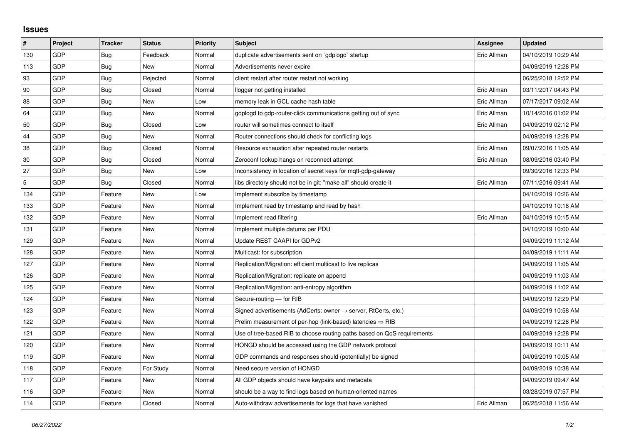## **Issues**

| $\pmb{\#}$  | Project | <b>Tracker</b> | <b>Status</b> | <b>Priority</b> | <b>Subject</b>                                                             | <b>Assignee</b> | <b>Updated</b>      |
|-------------|---------|----------------|---------------|-----------------|----------------------------------------------------------------------------|-----------------|---------------------|
| 130         | GDP     | Bug            | Feedback      | Normal          | duplicate advertisements sent on `gdplogd` startup                         | Eric Allman     | 04/10/2019 10:29 AM |
| 113         | GDP     | Bug            | New           | Normal          | Advertisements never expire                                                |                 | 04/09/2019 12:28 PM |
| 93          | GDP     | Bug            | Rejected      | Normal          | client restart after router restart not working                            |                 | 06/25/2018 12:52 PM |
| 90          | GDP     | Bug            | Closed        | Normal          | llogger not getting installed                                              | Eric Allman     | 03/11/2017 04:43 PM |
| 88          | GDP     | Bug            | New           | Low             | memory leak in GCL cache hash table                                        | Eric Allman     | 07/17/2017 09:02 AM |
| 64          | GDP     | Bug            | <b>New</b>    | Normal          | gdplogd to gdp-router-click communications getting out of sync             | Eric Allman     | 10/14/2016 01:02 PM |
| 50          | GDP     | Bug            | Closed        | Low             | router will sometimes connect to itself                                    | Eric Allman     | 04/09/2019 02:12 PM |
| 44          | GDP     | Bug            | New           | Normal          | Router connections should check for conflicting logs                       |                 | 04/09/2019 12:28 PM |
| 38          | GDP     | Bug            | Closed        | Normal          | Resource exhaustion after repeated router restarts                         | Eric Allman     | 09/07/2016 11:05 AM |
| 30          | GDP     | Bug            | Closed        | Normal          | Zeroconf lookup hangs on reconnect attempt                                 | Eric Allman     | 08/09/2016 03:40 PM |
| 27          | GDP     | Bug            | New           | Low             | Inconsistency in location of secret keys for mgtt-gdp-gateway              |                 | 09/30/2016 12:33 PM |
| $\mathbf 5$ | GDP     | <b>Bug</b>     | Closed        | Normal          | libs directory should not be in git; "make all" should create it           | Eric Allman     | 07/11/2016 09:41 AM |
| 134         | GDP     | Feature        | New           | Low             | Implement subscribe by timestamp                                           |                 | 04/10/2019 10:26 AM |
| 133         | GDP     | Feature        | <b>New</b>    | Normal          | Implement read by timestamp and read by hash                               |                 | 04/10/2019 10:18 AM |
| 132         | GDP     | Feature        | New           | Normal          | Implement read filtering                                                   | Eric Allman     | 04/10/2019 10:15 AM |
| 131         | GDP     | Feature        | New           | Normal          | Implement multiple datums per PDU                                          |                 | 04/10/2019 10:00 AM |
| 129         | GDP     | Feature        | <b>New</b>    | Normal          | Update REST CAAPI for GDPv2                                                |                 | 04/09/2019 11:12 AM |
| 128         | GDP     | Feature        | New           | Normal          | Multicast: for subscription                                                |                 | 04/09/2019 11:11 AM |
| 127         | GDP     | Feature        | New           | Normal          | Replication/Migration: efficient multicast to live replicas                |                 | 04/09/2019 11:05 AM |
| 126         | GDP     | Feature        | New           | Normal          | Replication/Migration: replicate on append                                 |                 | 04/09/2019 11:03 AM |
| 125         | GDP     | Feature        | New           | Normal          | Replication/Migration: anti-entropy algorithm                              |                 | 04/09/2019 11:02 AM |
| 124         | GDP     | Feature        | New           | Normal          | Secure-routing - for RIB                                                   |                 | 04/09/2019 12:29 PM |
| 123         | GDP     | Feature        | New           | Normal          | Signed advertisements (AdCerts: owner $\rightarrow$ server, RtCerts, etc.) |                 | 04/09/2019 10:58 AM |
| 122         | GDP     | Feature        | New           | Normal          | Prelim measurement of per-hop (link-based) latencies $\Rightarrow$ RIB     |                 | 04/09/2019 12:28 PM |
| 121         | GDP     | Feature        | <b>New</b>    | Normal          | Use of tree-based RIB to choose routing paths based on QoS requirements    |                 | 04/09/2019 12:28 PM |
| 120         | GDP     | Feature        | New           | Normal          | HONGD should be accessed using the GDP network protocol                    |                 | 04/09/2019 10:11 AM |
| 119         | GDP     | Feature        | New           | Normal          | GDP commands and responses should (potentially) be signed                  |                 | 04/09/2019 10:05 AM |
| 118         | GDP     | Feature        | For Study     | Normal          | Need secure version of HONGD                                               |                 | 04/09/2019 10:38 AM |
| 117         | GDP     | Feature        | <b>New</b>    | Normal          | All GDP objects should have keypairs and metadata                          |                 | 04/09/2019 09:47 AM |
| 116         | GDP     | Feature        | New           | Normal          | should be a way to find logs based on human-oriented names                 |                 | 03/28/2019 07:57 PM |
| 114         | GDP     | Feature        | Closed        | Normal          | Auto-withdraw advertisements for logs that have vanished                   | Eric Allman     | 06/25/2018 11:56 AM |